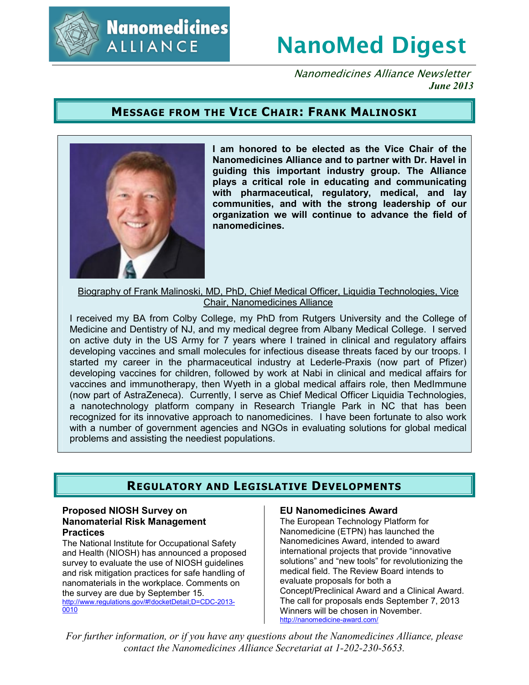

**Nanomedicines ALLIANCE** 

# **NanoMed Digest**

Nanomedicines Alliance Newsletter *June 2013*

## **MESSAGE FROM THE VICE CHAIR: FRANK MALINOSKI**



**I am honored to be elected as the Vice Chair of the Nanomedicines Alliance and to partner with Dr. Havel in guiding this important industry group. The Alliance plays a critical role in educating and communicating with pharmaceutical, regulatory, medical, and lay communities, and with the strong leadership of our organization we will continue to advance the field of nanomedicines.** 

Biography of Frank Malinoski, MD, PhD, Chief Medical Officer, Liquidia Technologies, Vice Chair, Nanomedicines Alliance

I received my BA from Colby College, my PhD from Rutgers University and the College of Medicine and Dentistry of NJ, and my medical degree from Albany Medical College. I served on active duty in the US Army for 7 years where I trained in clinical and regulatory affairs developing vaccines and small molecules for infectious disease threats faced by our troops. I started my career in the pharmaceutical industry at Lederle-Praxis (now part of Pfizer) developing vaccines for children, followed by work at Nabi in clinical and medical affairs for vaccines and immunotherapy, then Wyeth in a global medical affairs role, then MedImmune (now part of AstraZeneca). Currently, I serve as Chief Medical Officer Liquidia Technologies, a nanotechnology platform company in Research Triangle Park in NC that has been recognized for its innovative approach to nanomedicines. I have been fortunate to also work with a number of government agencies and NGOs in evaluating solutions for global medical problems and assisting the neediest populations.

## **REGULATORY AND LEGISLATIVE DEVELOPMENTS**

### **Proposed NIOSH Survey on Nanomaterial Risk Management Practices**

The National Institute for Occupational Safety and Health (NIOSH) has announced a proposed survey to evaluate the use of NIOSH guidelines and risk mitigation practices for safe handling of nanomaterials in the workplace. Comments on the survey are due by September 15. http://www.regulations.gov/#!docketDetail;D=CDC-2013- 0010

## **EU Nanomedicines Award**

The European Technology Platform for Nanomedicine (ETPN) has launched the Nanomedicines Award, intended to award international projects that provide "innovative solutions" and "new tools" for revolutionizing the medical field. The Review Board intends to evaluate proposals for both a Concept/Preclinical Award and a Clinical Award. The call for proposals ends September 7, 2013 Winners will be chosen in November. http://nanomedicine-award.com/

*For further information, or if you have any questions about the Nanomedicines Alliance, please contact the Nanomedicines Alliance Secretariat at 1-202-230-5653.*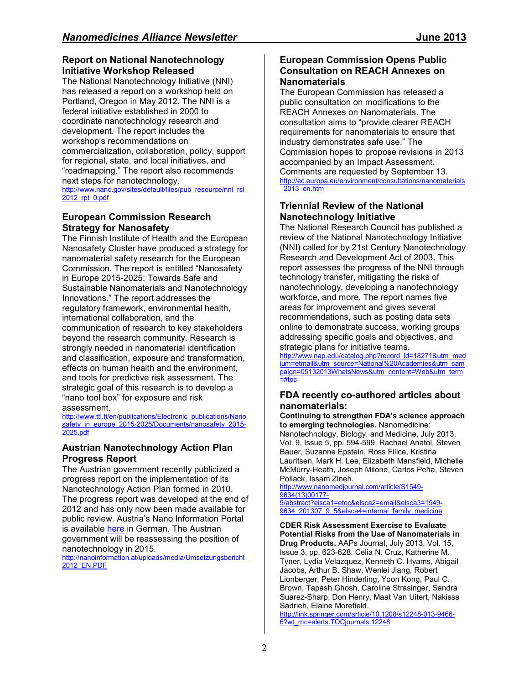## **Report on National Nanotechnology Initiative Workshop Released**

The National Nanotechnology Initiative (NNI) has released a report on a workshop held on Portland, Oregon in May 2012. The NNI is a federal initiative established in 2000 to coordinate nanotechnology research and development. The report includes the workshop's recommendations on commercialization, collaboration, policy, support for regional, state, and local initiatives, and "roadmapping." The report also recommends next steps for nanotechnology. http://www.nano.gov/sites/default/files/pub\_resource/nni\_rsl 2012\_rpt\_0.pdf

## **European Commission Research Strategy for Nanosafety**

The Finnish Institute of Health and the European Nanosafety Cluster have produced a strategy for nanomaterial safety research for the European Commission. The report is entitled "Nanosafety in Europe 2015-2025: Towards Safe and Sustainable Nanomaterials and Nanotechnology Innovations." The report addresses the regulatory framework, environmental health, international collaboration, and the communication of research to key stakeholders beyond the research community. Research is strongly needed in nanomaterial identification and classification, exposure and transformation, effects on human health and the environment, and tools for predictive risk assessment. The strategic goal of this research is to develop a "nano tool box" for exposure and risk assessment.

http://www.ttl.fi/en/publications/Electronic\_publications/Nano safety in europe 2015-2025/Documents/nanosafety 2015-2025.pdf

## **Austrian Nanotechnology Action Plan Progress Report**

The Austrian government recently publicized a progress report on the implementation of its Nanotechnology Action Plan formed in 2010. The progress report was developed at the end of 2012 and has only now been made available for public review. Austria's Nano Information Portal is available here in German. The Austrian government will be reassessing the position of nanotechnology in 2015.

http://nanoinformation.at/uploads/media/Umsetzungsbericht\_ 2012\_EN.PDF

## **European Commission Opens Public Consultation on REACH Annexes on Nanomaterials**

The European Commission has released a public consultation on modifications to the REACH Annexes on Nanomaterials. The consultation aims to "provide clearer REACH requirements for nanomaterials to ensure that industry demonstrates safe use." The Commission hopes to propose revisions in 2013 accompanied by an Impact Assessment. Comments are requested by September 13. http://ec.europa.eu/environment/consultations/nanomaterials \_2013\_en.htm

## **Triennial Review of the National Nanotechnology Initiative**

The National Research Council has published a review of the National Nanotechnology Initiative (NNI) called for by 21st Century Nanotechnology Research and Development Act of 2003. This report assesses the progress of the NNI through technology transfer, mitigating the risks of nanotechnology, developing a nanotechnology workforce, and more. The report names five areas for improvement and gives several recommendations, such as posting data sets online to demonstrate success, working groups addressing specific goals and objectives, and strategic plans for initiative teams.

http://www.nap.edu/catalog.php?record\_id=18271&utm\_med ium=etmail&utm\_source=National%20Academies&utm\_cam paign=05132013WhatsNews&utm\_content=Web&utm\_term =#toc

## **FDA recently co-authored articles about nanomaterials:**

#### **Continuing to strengthen FDA's science approach to emerging technologies.** Nanomedicine:

Nanotechnology, Biology, and Medicine, July 2013, Vol. 9, Issue 5, pp. 594-599. Rachael Anatol, Steven Bauer, Suzanne Epstein, Ross Filice, Kristina Lauritsen, Mark H. Lee, Elizabeth Mansfield, Michelle McMurry-Heath, Joseph Milone, Carlos Peña, Steven Pollack, Issam Zineh.

http://www.nanomedjournal.com/article/S1549- 9634(13)00177- 9/abstract?elsca1=etoc&elsca2=email&elsca3=1549- 9634\_201307\_9\_5&elsca4=internal\_family\_medicine

**CDER Risk Assessment Exercise to Evaluate Potential Risks from the Use of Nanomaterials in Drug Products.** AAPs Journal, July 2013, Vol. 15, Issue 3, pp. 623-628. Celia N. Cruz, Katherine M. Tyner, Lydia Velazquez, Kenneth C. Hyams, Abigail Jacobs, Arthur B. Shaw, Wenlei Jiang, Robert Lionberger, Peter Hinderling, Yoon Kong, Paul C. Brown, Tapash Ghosh, Caroline Strasinger, Sandra Suarez-Sharp, Don Henry, Maat Van Uitert, Nakissa Sadrieh, Elaine Morefield.

http://link.springer.com/article/10.1208/s12248-013-9466- 6?wt\_mc=alerts.TOCjournals.12248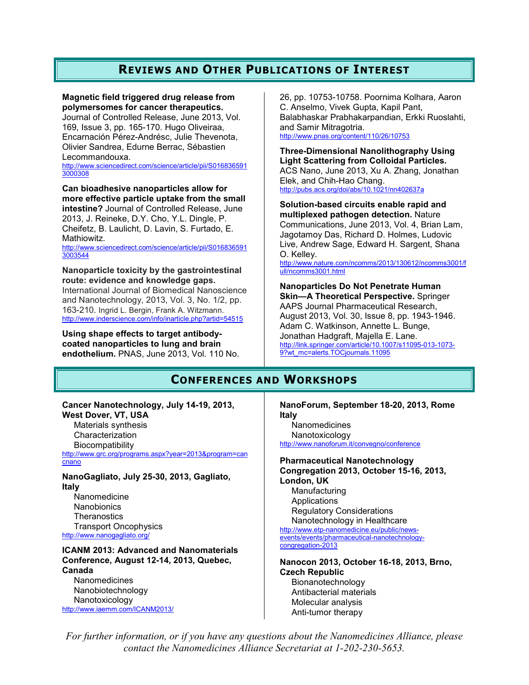## **REVIEWS AND OTHER PUBLICATIONS OF INTEREST**

#### **Magnetic field triggered drug release from polymersomes for cancer therapeutics.**

Journal of Controlled Release, June 2013, Vol. 169, Issue 3, pp. 165-170. Hugo Oliveiraa, Encarnación Pérez-Andrésc, Julie Thevenota, Olivier Sandrea, Edurne Berrac, Sébastien Lecommandouxa.

http://www.sciencedirect.com/science/article/pii/S016836591 3000308

**Can bioadhesive nanoparticles allow for more effective particle uptake from the small intestine?** Journal of Controlled Release, June 2013, J. Reineke, D.Y. Cho, Y.L. Dingle, P. Cheifetz, B. Laulicht, D. Lavin, S. Furtado, E. **Mathiowitz** 

http://www.sciencedirect.com/science/article/pii/S016836591 3003544

**Nanoparticle toxicity by the gastrointestinal route: evidence and knowledge gaps.** International Journal of Biomedical Nanoscience and Nanotechnology, 2013, Vol. 3, No. 1/2, pp. 163-210. Ingrid L. Bergin, Frank A. Witzmann. http://www.inderscience.com/info/inarticle.php?artid=54515

**Using shape effects to target antibodycoated nanoparticles to lung and brain endothelium.** PNAS, June 2013, Vol. 110 No. 26, pp. 10753-10758. Poornima Kolhara, Aaron C. Anselmo, Vivek Gupta, Kapil Pant, Balabhaskar Prabhakarpandian, Erkki Ruoslahti, and Samir Mitragotria. http://www.pnas.org/content/110/26/10753

**Three-Dimensional Nanolithography Using Light Scattering from Colloidal Particles.**  ACS Nano, June 2013, Xu A. Zhang, Jonathan Elek, and Chih-Hao Chang. http://pubs.acs.org/doi/abs/10.1021/nn402637a

**Solution-based circuits enable rapid and multiplexed pathogen detection.** Nature Communications, June 2013, Vol. 4, Brian Lam, Jagotamoy Das, Richard D. Holmes, Ludovic Live, Andrew Sage, Edward H. Sargent, Shana O. Kelley.

http://www.nature.com/ncomms/2013/130612/ncomms3001/f ull/ncomms3001.html

**Nanoparticles Do Not Penetrate Human Skin—A Theoretical Perspective.** Springer AAPS Journal Pharmaceutical Research, August 2013, Vol. 30, Issue 8, pp. 1943-1946. Adam C. Watkinson, Annette L. Bunge, Jonathan Hadgraft, Majella E. Lane. http://link.springer.com/article/10.1007/s11095-013-1073- 9?wt\_mc=alerts.TOCjournals.11095

## **CONFERENCES AND WORKSHOPS**

#### **Cancer Nanotechnology, July 14-19, 2013, West Dover, VT, USA**

Materials synthesis Characterization **Biocompatibility** http://www.grc.org/programs.aspx?year=2013&program=can

cnano

**NanoGagliato, July 25-30, 2013, Gagliato, Italy** 

Nanomedicine **Nanobionics Theranostics** Transport Oncophysics http://www.nanogagliato.org/

#### **ICANM 2013: Advanced and Nanomaterials Conference, August 12-14, 2013, Quebec, Canada**

**Nanomedicines** Nanobiotechnology Nanotoxicology http://www.iaemm.com/ICANM2013/

**NanoForum, September 18-20, 2013, Rome Italy**

**Nanomedicines** Nanotoxicology http://www.nanoforum.it/convegno/conference

**Pharmaceutical Nanotechnology Congregation 2013, October 15-16, 2013, London, UK** Manufacturing **Applications** Regulatory Considerations Nanotechnology in Healthcare http://www.etp-nanomedicine.eu/public/newsevents/events/pharmaceutical-nanotechnologycongregation-2013

**Nanocon 2013, October 16-18, 2013, Brno, Czech Republic**  Bionanotechnology

Antibacterial materials Molecular analysis Anti-tumor therapy

*For further information, or if you have any questions about the Nanomedicines Alliance, please contact the Nanomedicines Alliance Secretariat at 1-202-230-5653.*